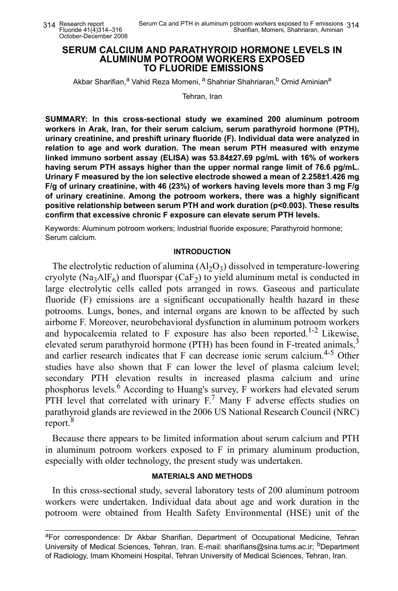## **SERUM CALCIUM AND PARATHYROID HORMONE LEVELS IN ALUMINUM POTROOM WORKERS EXPOSED TO FLUORIDE EMISSIONS**

Akbar Sharifian,<sup>a</sup> Vahid Reza Momeni, <sup>a</sup> Shahriar Shahriaran, <sup>b</sup> Omid Aminian<sup>a</sup>

Tehran, Iran

**SUMMARY: In this cross-sectional study we examined 200 aluminum potroom workers in Arak, Iran, for their serum calcium, serum parathyroid hormone (PTH), urinary creatinine, and preshift urinary fluoride (F). Individual data were analyzed in relation to age and work duration. The mean serum PTH measured with enzyme linked immuno sorbent assay (ELISA) was 53.84±27.69 pg/mL with 16% of workers having serum PTH assays higher than the upper normal range limit of 76.6 pg/mL. Urinary F measured by the ion selective electrode showed a mean of 2.258±1.426 mg F/g of urinary creatinine, with 46 (23%) of workers having levels more than 3 mg F/g of urinary creatinine. Among the potroom workers, there was a highly significant positive relationship between serum PTH and work duration (p<0.003). These results confirm that excessive chronic F exposure can elevate serum PTH levels.**

Keywords: Aluminum potroom workers; Industrial fluoride exposure; Parathyroid hormone; Serum calcium.

#### **INTRODUCTION**

The electrolytic reduction of alumina  $(A<sub>1</sub>, O<sub>3</sub>)$  dissolved in temperature-lowering cryolyte (Na<sub>3</sub>AlF<sub>6</sub>) and fluorspar (CaF<sub>2</sub>) to yield aluminum metal is conducted in large electrolytic cells called pots arranged in rows. Gaseous and particulate fluoride (F) emissions are a significant occupationally health hazard in these potrooms. Lungs, bones, and internal organs are known to be affected by such airborne F. Moreover, neurobehavioral dysfunction in aluminum potroom workers and hypocalcemia related to F exposure has also been reported.<sup>1-2</sup> Likewise, elevated serum parathyroid hormone (PTH) has been found in F-treated animals,<sup>3</sup> and earlier research indicates that  $F$  can decrease ionic serum calcium.<sup>4-5</sup> Other studies have also shown that F can lower the level of plasma calcium level; secondary PTH elevation results in increased plasma calcium and urine phosphorus levels. 6 According to Huang's survey, F workers had elevated serum PTH level that correlated with urinary  $F<sup>7</sup>$  Many F adverse effects studies on parathyroid glands are reviewed in the 2006 US National Research Council (NRC) report.<sup>8</sup>

Because there appears to be limited information about serum calcium and PTH in aluminum potroom workers exposed to F in primary aluminum production, especially with older technology, the present study was undertaken.

## **MATERIALS AND METHODS**

In this cross-sectional study, several laboratory tests of 200 aluminum potroom workers were undertaken. Individual data about age and work duration in the potroom were obtained from Health Safety Environmental (HSE) unit of the

aFor correspondence: Dr Akbar Sharifian, Department of Occupational Medicine, Tehran University of Medical Sciences, Tehran, Iran. E-mail: sharifians@sina.tums.ac.ir; <sup>b</sup>Department of Radiology, Imam Khomeini Hospital, Tehran University of Medical Sciences, Tehran, Iran.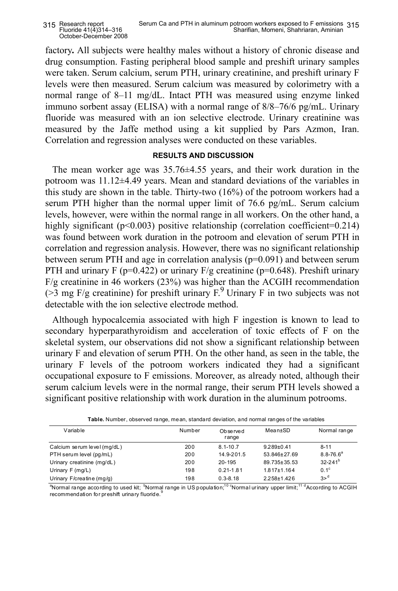factory**.** All subjects were healthy males without a history of chronic disease and drug consumption. Fasting peripheral blood sample and preshift urinary samples were taken. Serum calcium, serum PTH, urinary creatinine, and preshift urinary F levels were then measured. Serum calcium was measured by colorimetry with a normal range of 8–11 mg/dL. Intact PTH was measured using enzyme linked immuno sorbent assay (ELISA) with a normal range of 8/8–76/6 pg/mL. Urinary fluoride was measured with an ion selective electrode. Urinary creatinine was measured by the Jaffe method using a kit supplied by Pars Azmon, Iran. Correlation and regression analyses were conducted on these variables.

# **RESULTS AND DISCUSSION**

The mean worker age was 35.76±4.55 years, and their work duration in the potroom was 11.12±4.49 years. Mean and standard deviations of the variables in this study are shown in the table. Thirty-two (16%) of the potroom workers had a serum PTH higher than the normal upper limit of 76.6 pg/mL. Serum calcium levels, however, were within the normal range in all workers. On the other hand, a highly significant (p<0.003) positive relationship (correlation coefficient=0.214) was found between work duration in the potroom and elevation of serum PTH in correlation and regression analysis. However, there was no significant relationship between serum PTH and age in correlation analysis  $(p=0.091)$  and between serum PTH and urinary F (p=0.422) or urinary  $F/g$  creatinine (p=0.648). Preshift urinary F/g creatinine in 46 workers (23%) was higher than the ACGIH recommendation ( $>$ 3 mg F/g creatinine) for preshift urinary F.<sup>9</sup> Urinary F in two subjects was not detectable with the ion selective electrode method.

Although hypocalcemia associated with high F ingestion is known to lead to secondary hyperparathyroidism and acceleration of toxic effects of F on the skeletal system, our observations did not show a significant relationship between urinary F and elevation of serum PTH. On the other hand, as seen in the table, the urinary F levels of the potroom workers indicated they had a significant occupational exposure to F emissions. Moreover, as already noted, although their serum calcium levels were in the normal range, their serum PTH levels showed a significant positive relationship with work duration in the aluminum potrooms.

| Variable                    | Number | Observed<br>range | Mean±SD         | Normal range   |
|-----------------------------|--------|-------------------|-----------------|----------------|
| Calcium serum level (mg/dL) | 200    | $8.1 - 10.7$      | $9.289 + 0.41$  | $8 - 11$       |
| PTH serum level (pq/mL)     | 200    | 14.9-201.5        | 53.846±27.69    | $8.8 - 76.6^a$ |
| Urinary creatinine (mg/dL)  | 200    | $20 - 195$        | 89.735 + 35.53  | $32 - 241^b$   |
| Urinary $F$ (mg/L)          | 198    | $0.21 - 1.81$     | $1.817 + 1.164$ | $0.1^\circ$    |
| Urinary F/creatine (mg/g)   | 198    | $0.3 - 8.18$      | 2.258±1.426     | $3>^d$         |

| Table. Number, observed range, mean, standard deviation, and normal ranges of the variables |  |  |
|---------------------------------------------------------------------------------------------|--|--|
|---------------------------------------------------------------------------------------------|--|--|

 $^a$ Normal range according to used kit; <sup>b</sup>Normal range in US population;<sup>10</sup> <sup>c</sup>Normal urinary upper limit;<sup>11 d</sup>According to ACGIH recommendation for preshift urinary fluoride.<sup>9</sup> L